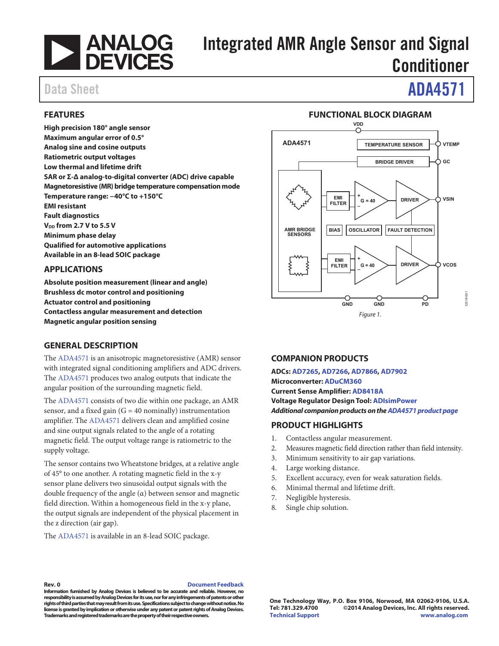

# Integrated AMR Angle Sensor and Signal Conditioner

# Data Sheet **ADA4571**

## **FEATURES**

**High precision 180° angle sensor Maximum angular error of 0.5° Analog sine and cosine outputs Ratiometric output voltages Low thermal and lifetime drift SAR or Σ-∆ analog-to-digital converter (ADC) drive capable Magnetoresistive (MR) bridge temperature compensation mode Temperature range: −40°C to +150°C EMI resistant Fault diagnostics VDD from 2.7 V to 5.5 V Minimum phase delay Qualified for automotive applications Available in an 8-lead SOIC package** 

### **APPLICATIONS**

**Absolute position measurement (linear and angle) Brushless dc motor control and positioning Actuator control and positioning Contactless angular measurement and detection Magnetic angular position sensing** 

### **GENERAL DESCRIPTION**

The ADA4571 is an anisotropic magnetoresistive (AMR) sensor with integrated signal conditioning amplifiers and ADC drivers. The ADA4571 produces two analog outputs that indicate the angular position of the surrounding magnetic field.

The ADA4571 consists of two die within one package, an AMR sensor, and a fixed gain  $(G = 40$  nominally) instrumentation amplifier. The ADA4571 delivers clean and amplified cosine and sine output signals related to the angle of a rotating magnetic field. The output voltage range is ratiometric to the supply voltage.

The sensor contains two Wheatstone bridges, at a relative angle of 45° to one another. A rotating magnetic field in the x-y sensor plane delivers two sinusoidal output signals with the double frequency of the angle (α) between sensor and magnetic field direction. Within a homogeneous field in the x-y plane, the output signals are independent of the physical placement in the z direction (air gap).

The ADA4571 is available in an 8-lead SOIC package.

#### Figure 1. **ADA4571 EMI FILTER EMI FILTER + G = 40 + – – G = 40 DRIVER DRIVER AMR BRIDGE SENSORS TEMPERATURE SENSOR BRIDGE DRIVER BIAS OSCILLATOR FAULT DETECTION VTEMP GC VSIN VCOS GND GND PD VDD** 12514-001

**FUNCTIONAL BLOCK DIAGRAM** 

## **COMPANION PRODUCTS**

**ADCs: AD7265, AD7266, AD7866, AD7902 Microconverter: ADuCM360 Current Sense Amplifier: AD8418A Voltage Regulator Design Tool: ADIsimPower Additional companion products on the ADA4571 product page**

## **PRODUCT HIGHLIGHTS**

- 1. Contactless angular measurement.
- 2. Measures magnetic field direction rather than field intensity.
- 3. Minimum sensitivity to air gap variations.
- 4. Large working distance.
- 5. Excellent accuracy, even for weak saturation fields.
- 6. Minimal thermal and lifetime drift.
- 7. Negligible hysteresis.
- 8. Single chip solution.

#### **Rev. 0 Document Feedback**

**Information furnished by Analog Devices is believed to be accurate and reliable. However, no responsibility is assumed by Analog Devices for its use, nor for any infringements of patents or other rights of third parties that may result from its use. Specifications subject to change without notice. No license is granted by implication or otherwise under any patent or patent rights of Analog Devices. Trademarks and registered trademarks are the property of their respective owners.**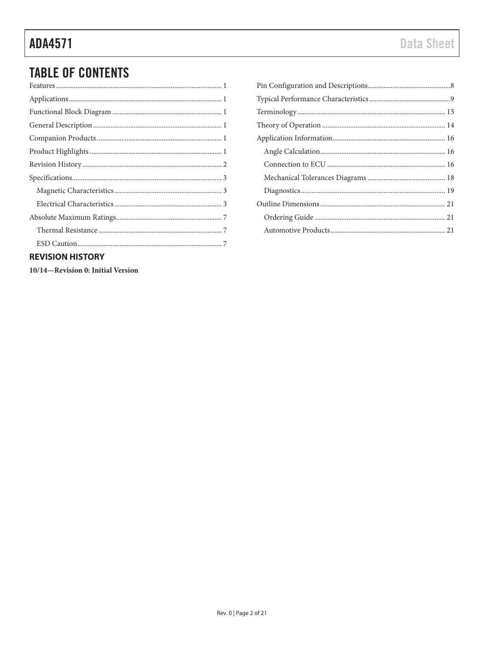# **TABLE OF CONTENTS**

| $\mathbf{A} = \mathbf{A} \mathbf{A} + \mathbf{A} \mathbf{A} + \mathbf{A} \mathbf{A} + \mathbf{A} \mathbf{A} + \mathbf{A} \mathbf{A} + \mathbf{A} \mathbf{A} + \mathbf{A} \mathbf{A} + \mathbf{A} \mathbf{A} + \mathbf{A} \mathbf{A} + \mathbf{A} \mathbf{A} + \mathbf{A} \mathbf{A} + \mathbf{A} \mathbf{A} + \mathbf{A} \mathbf{A} + \mathbf{A} \mathbf{A} + \mathbf{A} \mathbf{A} + \mathbf{A} \mathbf{A} + \mathbf{A$ |
|--------------------------------------------------------------------------------------------------------------------------------------------------------------------------------------------------------------------------------------------------------------------------------------------------------------------------------------------------------------------------------------------------------------------------|

## **REVISION HISTORY**

10/14-Revision 0: Initial Version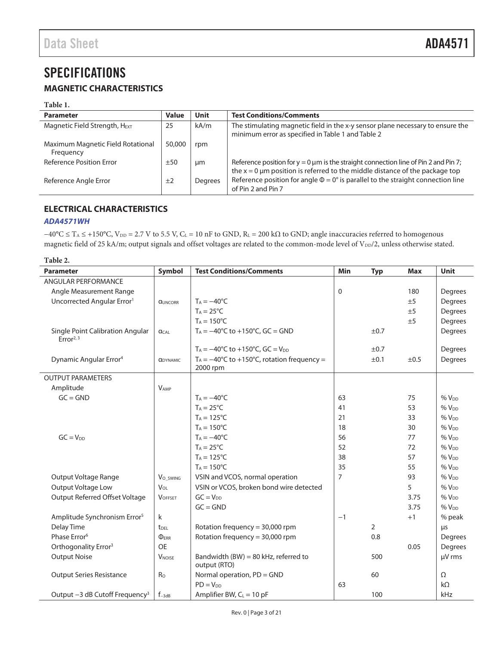# **SPECIFICATIONS**

## **MAGNETIC CHARACTERISTICS**

#### **Table 1.**

| <b>Parameter</b>                               | <b>Value</b> | <b>Unit</b> | <b>Test Conditions/Comments</b>                                                                                                                                           |
|------------------------------------------------|--------------|-------------|---------------------------------------------------------------------------------------------------------------------------------------------------------------------------|
| Magnetic Field Strength, H <sub>EXT</sub>      | 25           | kA/m        | The stimulating magnetic field in the x-y sensor plane necessary to ensure the<br>minimum error as specified in Table 1 and Table 2                                       |
| Maximum Magnetic Field Rotational<br>Frequency | 50,000       | rpm         |                                                                                                                                                                           |
| Reference Position Error                       | ±50          | μm          | Reference position for $y = 0 \mu m$ is the straight connection line of Pin 2 and Pin 7;<br>the $x = 0$ µm position is referred to the middle distance of the package top |
| Reference Angle Error                          | ±2           | Degrees     | Reference position for angle $\Phi = 0^\circ$ is parallel to the straight connection line<br>of Pin 2 and Pin 7                                                           |

## **ELECTRICAL CHARACTERISTICS**

### **ADA4571WH**

 $-40^{\circ}$ C ≤ T<sub>A</sub> ≤ +150°C, V<sub>DD</sub> = 2.7 V to 5.5 V, C<sub>L</sub> = 10 nF to GND, R<sub>L</sub> = 200 kΩ to GND; angle inaccuracies referred to homogenous magnetic field of 25 kA/m; output signals and offset voltages are related to the common-mode level of V<sub>DD</sub>/2, unless otherwise stated.

| Table 2.                                                  |                               |                                                                  |                                 |                |         |                  |
|-----------------------------------------------------------|-------------------------------|------------------------------------------------------------------|---------------------------------|----------------|---------|------------------|
| <b>Parameter</b>                                          | <b>Symbol</b>                 | <b>Test Conditions/Comments</b>                                  | Min<br><b>Typ</b><br><b>Max</b> |                |         | Unit             |
| <b>ANGULAR PERFORMANCE</b>                                |                               |                                                                  |                                 |                |         |                  |
| Angle Measurement Range                                   |                               | 0<br>180                                                         |                                 |                | Degrees |                  |
| Uncorrected Angular Error <sup>1</sup>                    | <b>QUNCORR</b>                | $T_A = -40$ °C                                                   |                                 |                | ±5      | Degrees          |
|                                                           |                               | $T_A = 25^{\circ}C$                                              |                                 |                | ±5      | Degrees          |
|                                                           |                               | $T_A = 150^{\circ}C$                                             |                                 |                | ±5      | Degrees          |
| Single Point Calibration Angular<br>Error <sup>2, 3</sup> | <b>ACAL</b>                   | $T_A = -40^{\circ}C$ to $+150^{\circ}C$ , GC = GND               |                                 | ±0.7           |         | Degrees          |
|                                                           |                               | $T_A = -40^{\circ}C$ to $+150^{\circ}C$ , GC = $V_{DD}$          |                                 | $\pm 0.7$      |         | Degrees          |
| Dynamic Angular Error <sup>4</sup>                        | <b><i><u>ADYNAMIC</u></i></b> | $T_A = -40^{\circ}C$ to +150°C, rotation frequency =<br>2000 rpm |                                 | ±0.1           | ±0.5    | Degrees          |
| <b>OUTPUT PARAMETERS</b>                                  |                               |                                                                  |                                 |                |         |                  |
| Amplitude                                                 | <b>VAMP</b>                   |                                                                  |                                 |                |         |                  |
| $GC = GND$                                                |                               | $T_A = -40$ °C                                                   | 63                              |                | 75      | %V <sub>DD</sub> |
|                                                           |                               | $T_A = 25^{\circ}C$                                              | 41                              |                | 53      | $%V_{DD}$        |
|                                                           |                               | $T_A = 125$ °C                                                   | 21                              |                | 33      | $%V_{DD}$        |
|                                                           |                               | $T_A = 150^{\circ}C$                                             | 18                              |                | 30      | %V <sub>DD</sub> |
| $GC = V_{DD}$                                             |                               | $T_A = -40$ °C                                                   | 56<br>77                        |                |         | $%V_{DD}$        |
|                                                           |                               | $T_A = 25^{\circ}C$                                              | 52                              |                | 72      | $%V_{DD}$        |
|                                                           |                               | $T_A = 125^{\circ}C$                                             | 38                              |                | 57      | $%V_{DD}$        |
|                                                           |                               | $T_A = 150^{\circ}C$                                             | 35                              |                | 55      | $%V_{DD}$        |
| Output Voltage Range                                      | V <sub>O</sub> SWING          | VSIN and VCOS, normal operation                                  | $\overline{7}$                  |                | 93      | $%V_{DD}$        |
| Output Voltage Low                                        | V <sub>OL</sub>               | VSIN or VCOS, broken bond wire detected                          |                                 |                | 5       | %V <sub>DD</sub> |
| Output Referred Offset Voltage                            | <b>VOFFSET</b>                | $GC = V_{DD}$                                                    |                                 |                | 3.75    | $%V_{DD}$        |
|                                                           |                               | $GC = GND$                                                       |                                 |                | 3.75    | %V <sub>DD</sub> |
| Amplitude Synchronism Error <sup>5</sup>                  | k                             |                                                                  | $-1$                            |                | $+1$    | % peak           |
| <b>Delay Time</b>                                         | <b>t</b> <sub>DEL</sub>       | Rotation frequency = 30,000 rpm                                  |                                 | $\overline{2}$ |         | μs               |
| Phase Error <sup>6</sup>                                  | <b>PERR</b>                   | Rotation frequency = 30,000 rpm<br>0.8                           |                                 |                | Degrees |                  |
| Orthogonality Error <sup>3</sup>                          | <b>OE</b>                     | 0.05                                                             |                                 |                | Degrees |                  |
| <b>Output Noise</b>                                       | <b>VNOISE</b>                 | Bandwidth (BW) = 80 kHz, referred to<br>output (RTO)             | 500                             |                | µV rms  |                  |
| <b>Output Series Resistance</b>                           | Ro                            | Normal operation, PD = GND                                       |                                 | 60             |         | Ω                |
|                                                           |                               | $PD = V_{DD}$                                                    | 63                              |                |         | $k\Omega$        |
| Output -3 dB Cutoff Frequency <sup>3</sup>                | $f_{-3dB}$                    | Amplifier BW, $C_L = 10$ pF                                      |                                 | 100            |         | kHz              |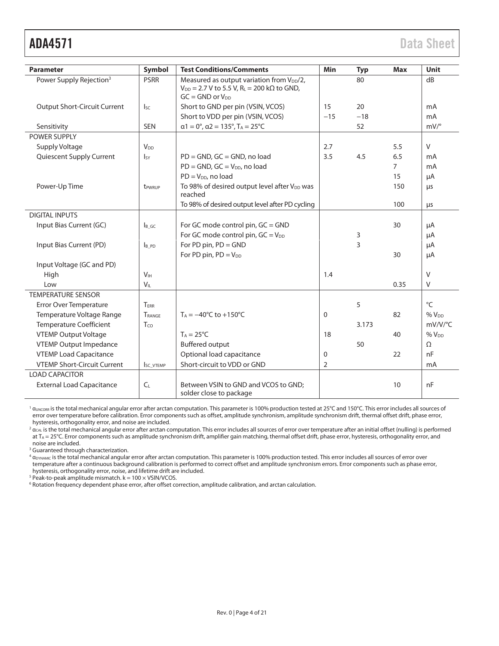| <b>Parameter</b>                    | <b>Symbol</b>      | <b>Test Conditions/Comments</b>                                                                                                                          | Min   | <b>Typ</b> | <b>Max</b>     | <b>Unit</b>      |
|-------------------------------------|--------------------|----------------------------------------------------------------------------------------------------------------------------------------------------------|-------|------------|----------------|------------------|
| Power Supply Rejection <sup>3</sup> | <b>PSRR</b>        | Measured as output variation from V <sub>DD</sub> /2,<br>80<br>$V_{DD} = 2.7 V$ to 5.5 V, R <sub>L</sub> = 200 k $\Omega$ to GND,<br>$GC = GND$ or $VDD$ |       |            | dB             |                  |
| <b>Output Short-Circuit Current</b> | $I_{SC}$           | Short to GND per pin (VSIN, VCOS)                                                                                                                        | 15    | 20         |                | mA               |
|                                     |                    | Short to VDD per pin (VSIN, VCOS)                                                                                                                        | $-15$ | $-18$      |                | mA               |
| Sensitivity                         | <b>SEN</b>         | $\alpha$ 1 = 0°, $\alpha$ 2 = 135°, T <sub>A</sub> = 25°C                                                                                                |       | 52         |                | $mV$ /°          |
| POWER SUPPLY                        |                    |                                                                                                                                                          |       |            |                |                  |
| <b>Supply Voltage</b>               | V <sub>DD</sub>    |                                                                                                                                                          | 2.7   |            | 5.5            | $\vee$           |
| Quiescent Supply Current            | $I_{SV}$           | $PD = GND$ , $GC = GND$ , no load                                                                                                                        | 3.5   | 4.5        | 6.5            | mA               |
|                                     |                    | $PD = GND$ , $GC = V_{DD}$ , no load                                                                                                                     |       |            | $\overline{7}$ | mA               |
|                                     |                    | $PD = V_{DD}$ , no load                                                                                                                                  |       |            | 15             | μA               |
| Power-Up Time                       | t <sub>PWRUP</sub> | To 98% of desired output level after V <sub>DD</sub> was<br>reached                                                                                      |       |            | 150            | μs               |
|                                     |                    | To 98% of desired output level after PD cycling                                                                                                          |       |            | 100            | $\mu$ s          |
| <b>DIGITAL INPUTS</b>               |                    |                                                                                                                                                          |       |            |                |                  |
| Input Bias Current (GC)             | I <sub>B</sub> GC  | For GC mode control pin, GC = GND                                                                                                                        |       |            | 30             | μA               |
|                                     |                    | For GC mode control pin, $GC = V_{DD}$                                                                                                                   | 3     |            | μA             |                  |
| Input Bias Current (PD)             | I <sub>B</sub> PD  | For PD pin, PD = GND                                                                                                                                     | 3     |            | μA             |                  |
|                                     |                    | For PD pin, $PD = V_{DD}$                                                                                                                                | 30    |            | μA             |                  |
| Input Voltage (GC and PD)           |                    |                                                                                                                                                          |       |            |                |                  |
| High                                | V <sub>IH</sub>    |                                                                                                                                                          | 1.4   |            |                | $\vee$           |
| Low                                 | $V_{IL}$           |                                                                                                                                                          |       |            | 0.35           | $\vee$           |
| <b>TEMPERATURE SENSOR</b>           |                    |                                                                                                                                                          |       |            |                |                  |
| Error Over Temperature              | TERR               |                                                                                                                                                          |       | 5          |                | $^{\circ}$ C     |
| Temperature Voltage Range           | TRANGE             | $T_A = -40^{\circ}C$ to $+150^{\circ}C$                                                                                                                  | 0     |            | 82             | %V <sub>DD</sub> |
| <b>Temperature Coefficient</b>      | Tco                |                                                                                                                                                          |       | 3.173      |                | mV/V/°C          |
| <b>VTEMP Output Voltage</b>         |                    | $T_A = 25^{\circ}C$<br>18                                                                                                                                |       |            | 40             | $%V_{DD}$        |
| <b>VTEMP Output Impedance</b>       |                    | <b>Buffered output</b><br>50                                                                                                                             |       |            |                | $\Omega$         |
| <b>VTEMP Load Capacitance</b>       |                    | Optional load capacitance<br>22<br>0                                                                                                                     |       |            | nF             |                  |
| <b>VTEMP Short-Circuit Current</b>  | <b>ISC VTEMP</b>   | Short-circuit to VDD or GND<br>$\overline{2}$                                                                                                            |       |            | mA             |                  |
| <b>LOAD CAPACITOR</b>               |                    |                                                                                                                                                          |       |            |                |                  |
| <b>External Load Capacitance</b>    | C <sub>L</sub>     | Between VSIN to GND and VCOS to GND:<br>solder close to package                                                                                          |       |            | 10             | nF               |

<sup>1</sup>  $\alpha_{\text{UNCORR}}$  is the total mechanical angular error after arctan computation. This parameter is 100% production tested at 25°C and 150°C. This error includes all sources of error over temperature before calibration. Error components such as offset, amplitude synchronism, amplitude synchronism drift, thermal offset drift, phase error, hysteresis, orthogonality error, and noise are included.

 $^2$   $\alpha_{\rm CAL}$  is the total mechanical angular error after arctan computation. This error includes all sources of error over temperature after an initial offset (nulling) is performed at T<sub>A</sub> = 25°C. Error components such as amplitude synchronism drift, amplifier gain matching, thermal offset drift, phase error, hysteresis, orthogonality error, and noise are included.

<sup>3</sup> Guaranteed through characterization.

 $^4$   $\alpha_{\rm{DYMAMIC}}$  is the total mechanical angular error after arctan computation. This parameter is 100% production tested. This error includes all sources of error over temperature after a continuous background calibration is performed to correct offset and amplitude synchronism errors. Error components such as phase error, hysteresis, orthogonality error, noise, and lifetime drift are included.

 $5$  Peak-to-peak amplitude mismatch.  $k = 100 \times V$ SIN/VCOS.

6 Rotation frequency dependent phase error, after offset correction, amplitude calibration, and arctan calculation.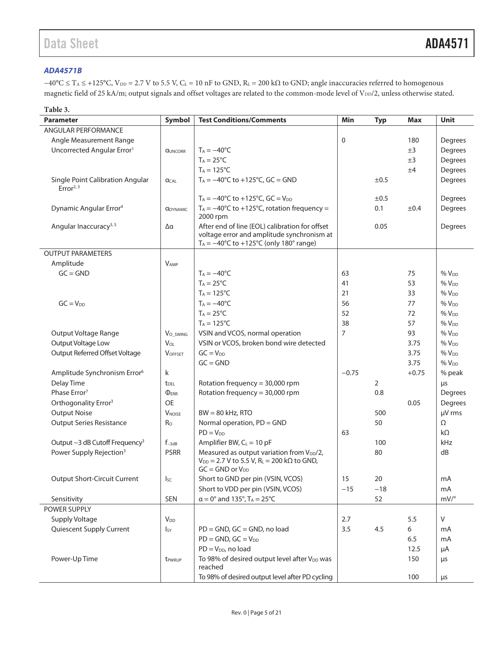### **ADA4571B**

 $-40^{\circ}$ C ≤ T<sub>A</sub> ≤ +125°C, V<sub>DD</sub> = 2.7 V to 5.5 V, C<sub>L</sub> = 10 nF to GND, R<sub>L</sub> = 200 kΩ to GND; angle inaccuracies referred to homogenous magnetic field of 25 kA/m; output signals and offset voltages are related to the common-mode level of V<sub>DD</sub>/2, unless otherwise stated.

| Table 3.                                        |                               |                                                                                                                                                           |                |            |            |                  |
|-------------------------------------------------|-------------------------------|-----------------------------------------------------------------------------------------------------------------------------------------------------------|----------------|------------|------------|------------------|
| <b>Parameter</b>                                | Symbol                        | <b>Test Conditions/Comments</b>                                                                                                                           | Min            | <b>Typ</b> | <b>Max</b> | <b>Unit</b>      |
| <b>ANGULAR PERFORMANCE</b>                      |                               |                                                                                                                                                           |                |            |            |                  |
| Angle Measurement Range                         |                               |                                                                                                                                                           | $\mathbf 0$    |            | 180        | Degrees          |
| Uncorrected Angular Error <sup>1</sup>          | <b>QUNCORR</b>                | $T_A = -40$ °C                                                                                                                                            |                |            | $\pm 3$    | Degrees          |
|                                                 |                               | $T_A = 25^{\circ}C$                                                                                                                                       |                | ±3         | Degrees    |                  |
|                                                 |                               | $T_A = 125$ °C                                                                                                                                            |                |            | ±4         | Degrees          |
| Single Point Calibration Angular<br>Error $2,3$ | $\alpha$ CAL                  | $T_A = -40^{\circ}C$ to $+125^{\circ}C$ , GC = GND                                                                                                        |                | ±0.5       |            | Degrees          |
|                                                 |                               | $T_A = -40^{\circ}C$ to $+125^{\circ}C$ , GC = $V_{DD}$                                                                                                   |                | $\pm 0.5$  |            | Degrees          |
| Dynamic Angular Error <sup>4</sup>              | <b><i><u>ODYNAMIC</u></i></b> | $T_A = -40^{\circ}C$ to +125°C, rotation frequency =<br>2000 rpm                                                                                          |                | 0.1        | $\pm 0.4$  | Degrees          |
| Angular Inaccuracy <sup>3, 5</sup>              | Δα                            | After end of line (EOL) calibration for offset<br>voltage error and amplitude synchronism at<br>$T_A = -40^{\circ}C$ to $+125^{\circ}C$ (only 180° range) |                | 0.05       |            | Degrees          |
| <b>OUTPUT PARAMETERS</b>                        |                               |                                                                                                                                                           |                |            |            |                  |
| Amplitude                                       | <b>VAMP</b>                   |                                                                                                                                                           |                |            |            |                  |
| $GC = GND$                                      |                               | $T_A = -40$ °C                                                                                                                                            | 63             |            | 75         | $%V_{DD}$        |
|                                                 |                               | $T_A = 25$ °C                                                                                                                                             | 41             |            | 53         | %V <sub>DD</sub> |
|                                                 |                               | $T_A = 125$ °C                                                                                                                                            | 21             |            | 33         | %V <sub>DD</sub> |
| $GC = V_{DD}$                                   |                               | $T_A = -40$ °C                                                                                                                                            | 56             |            | 77         | $%V_{DD}$        |
|                                                 |                               | $T_A = 25^{\circ}C$                                                                                                                                       | 52             |            | 72         | %V <sub>DD</sub> |
|                                                 |                               | $T_A = 125$ °C                                                                                                                                            | 38             |            | 57         | $%V_{DD}$        |
| Output Voltage Range                            | Vo swing                      | VSIN and VCOS, normal operation                                                                                                                           | $\overline{7}$ |            | 93         | %V <sub>DD</sub> |
| Output Voltage Low                              | $V_{OL}$                      | VSIN or VCOS, broken bond wire detected                                                                                                                   |                |            | 3.75       | $%V_{DD}$        |
| Output Referred Offset Voltage                  | <b>VOFFSET</b>                | $GC = V_{DD}$                                                                                                                                             |                |            | 3.75       | %V <sub>DD</sub> |
|                                                 |                               | $GC = GND$                                                                                                                                                |                |            | 3.75       | $%V_{DD}$        |
| Amplitude Synchronism Error <sup>6</sup>        | k                             |                                                                                                                                                           | $-0.75$        |            | $+0.75$    | % peak           |
| Delay Time                                      | <b>t</b> <sub>DEL</sub>       | Rotation frequency = 30,000 rpm                                                                                                                           |                | 2          |            | μs               |
| Phase Error <sup>7</sup>                        | $\Phi$ <sub>ERR</sub>         | Rotation frequency = 30,000 rpm                                                                                                                           |                | 0.8        |            | Degrees          |
| Orthogonality Error <sup>3</sup>                | <b>OE</b>                     |                                                                                                                                                           |                |            | 0.05       | Degrees          |
| <b>Output Noise</b>                             | <b>V</b> <sub>NOISE</sub>     | $BW = 80$ kHz, RTO                                                                                                                                        |                | 500        |            | µV rms           |
| <b>Output Series Resistance</b>                 | Ro                            | Normal operation, PD = GND                                                                                                                                |                | 50         |            | Ω                |
|                                                 |                               | $PD = V_{DD}$                                                                                                                                             | 63             |            |            | $k\Omega$        |
| Output -3 dB Cutoff Frequency <sup>3</sup>      | $f_{-3dB}$                    | Amplifier BW, $C_L = 10$ pF                                                                                                                               |                | 100        |            | kHz              |
| Power Supply Rejection <sup>3</sup>             | <b>PSRR</b>                   | Measured as output variation from V <sub>DD</sub> /2,<br>$V_{DD} = 2.7 V$ to 5.5 V, R <sub>L</sub> = 200 k $\Omega$ to GND,<br>$GC = GND$ or $V_{DD}$     |                | 80         |            | dB               |
| <b>Output Short-Circuit Current</b>             | $I_{SC}$                      | Short to GND per pin (VSIN, VCOS)                                                                                                                         | 15             | 20         |            | mA               |
|                                                 |                               | Short to VDD per pin (VSIN, VCOS)                                                                                                                         | $-15$          | $-18$      |            | mA               |
| Sensitivity                                     | <b>SEN</b>                    | $\alpha = 0^\circ$ and 135°, T <sub>A</sub> = 25°C                                                                                                        |                | 52         |            | $mV$ /°          |
| POWER SUPPLY                                    |                               |                                                                                                                                                           |                |            |            |                  |
| Supply Voltage                                  | $V_{DD}$                      |                                                                                                                                                           | 2.7            |            | 5.5        | $\vee$           |
| Quiescent Supply Current                        | <sub>Isy</sub>                | PD = GND, GC = GND, no load<br>3.5<br>4.5<br>6                                                                                                            |                |            | mA         |                  |
|                                                 |                               | $PD = GND$ , $GC = V_{DD}$                                                                                                                                |                |            | 6.5        | mA               |
|                                                 |                               | $PD = V_{DD}$ , no load                                                                                                                                   |                |            | 12.5       | μA               |
| Power-Up Time                                   | t <sub>PWRUP</sub>            | To 98% of desired output level after V <sub>DD</sub> was<br>reached                                                                                       |                |            | 150        | $\mu$ s          |
|                                                 |                               | To 98% of desired output level after PD cycling                                                                                                           |                |            | 100        | $\mu s$          |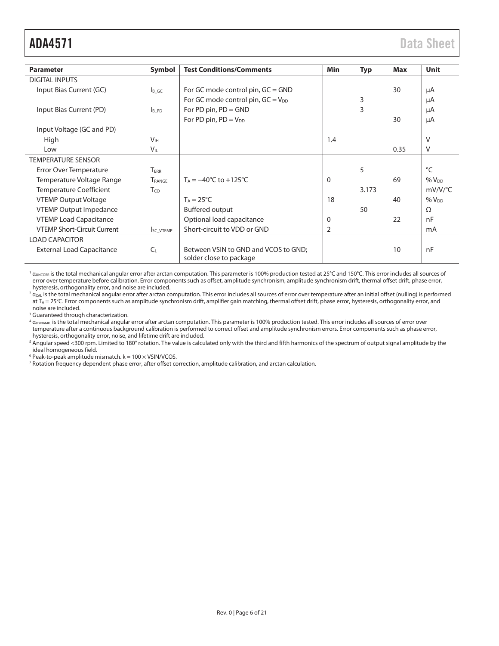| <b>Parameter</b>                   | Symbol                | <b>Test Conditions/Comments</b>                                 | <b>Min</b>     | <b>Typ</b> | <b>Max</b> | <b>Unit</b>     |
|------------------------------------|-----------------------|-----------------------------------------------------------------|----------------|------------|------------|-----------------|
| <b>DIGITAL INPUTS</b>              |                       |                                                                 |                |            |            |                 |
| Input Bias Current (GC)            | $\mathsf{B}$ GC       | For GC mode control pin, GC = GND                               |                |            | 30         | μA              |
|                                    |                       | For GC mode control pin, $GC = V_{DD}$                          |                | 3          |            | μA              |
| Input Bias Current (PD)            | <b>B</b> PD           | For PD pin, $PD = GND$                                          |                | 3          |            | μA              |
|                                    |                       | For PD pin, $PD = V_{DD}$                                       |                |            | 30         | μA              |
| Input Voltage (GC and PD)          |                       |                                                                 |                |            |            |                 |
| High                               | <b>V<sub>IH</sub></b> |                                                                 | 1.4            |            |            | V               |
| Low                                | $V_{IL}$              |                                                                 |                | 0.35       | V          |                 |
| <b>TEMPERATURE SENSOR</b>          |                       |                                                                 |                |            |            |                 |
| Error Over Temperature             | TERR                  |                                                                 |                | 5          |            | $\rm ^{\circ}C$ |
| Temperature Voltage Range          | TRANGE                | $T_A = -40^{\circ}C$ to $+125^{\circ}C$                         | $\Omega$       |            | 69         | $%V_{DD}$       |
| <b>Temperature Coefficient</b>     | T <sub>co</sub>       | 3.173                                                           |                |            | $mV/V$ /°C |                 |
| <b>VTEMP Output Voltage</b>        |                       | $T_A = 25^{\circ}C$                                             | 18             |            | 40         | $%V_{DD}$       |
| <b>VTEMP Output Impedance</b>      |                       | <b>Buffered output</b>                                          |                | 50         |            | $\Omega$        |
| <b>VTEMP Load Capacitance</b>      |                       | Optional load capacitance<br>0                                  |                |            | 22         | nF              |
| <b>VTEMP Short-Circuit Current</b> | SC_VTEMP              | Short-circuit to VDD or GND                                     | $\overline{2}$ |            |            | mA              |
| <b>LOAD CAPACITOR</b>              |                       |                                                                 |                |            |            |                 |
| <b>External Load Capacitance</b>   | $C_L$                 | Between VSIN to GND and VCOS to GND;<br>solder close to package |                |            | 10         | nF              |

<sup>1</sup>  $\alpha$ <sub>UNCORR</sub> is the total mechanical angular error after arctan computation. This parameter is 100% production tested at 25°C and 150°C. This error includes all sources of error over temperature before calibration. Error components such as offset, amplitude synchronism, amplitude synchronism drift, thermal offset drift, phase error, hysteresis, orthogonality error, and noise are included.

 $^2$   $\alpha_{\rm CAL}$  is the total mechanical angular error after arctan computation. This error includes all sources of error over temperature after an initial offset (nulling) is performed at  $T_A = 25$ °C. Error components such as amplitude synchronism drift, amplifier gain matching, thermal offset drift, phase error, hysteresis, orthogonality error, and noise are included.

3 Guaranteed through characterization.

 $^4$   $\alpha_{\rm{DYNAMIC}}$  is the total mechanical angular error after arctan computation. This parameter is 100% production tested. This error includes all sources of error over temperature after a continuous background calibration is performed to correct offset and amplitude synchronism errors. Error components such as phase error, hysteresis, orthogonality error, noise, and lifetime drift are included.

 $^5$  Angular speed <300 rpm. Limited to 180° rotation. The value is calculated only with the third and fifth harmonics of the spectrum of output signal amplitude by the ideal homogeneous field.

 $6$  Peak-to-peak amplitude mismatch.  $k = 100 \times V$ SIN/VCOS.

<sup>7</sup> Rotation frequency dependent phase error, after offset correction, amplitude calibration, and arctan calculation.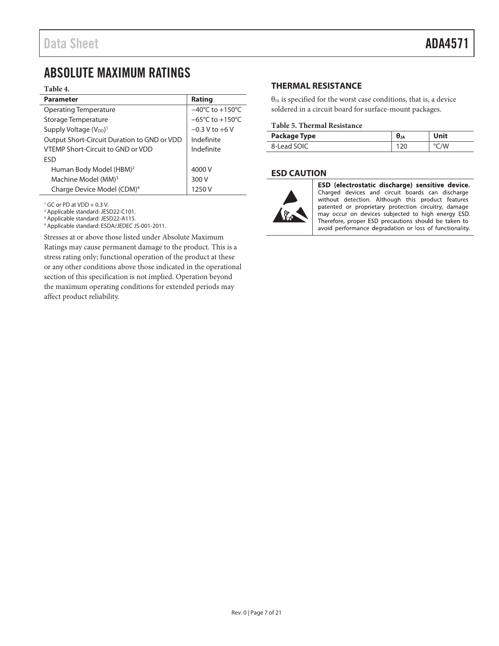# ABSOLUTE MAXIMUM RATINGS

#### **Table 4.**

| <b>Parameter</b>                               | Rating                               |
|------------------------------------------------|--------------------------------------|
| Operating Temperature                          | $-40^{\circ}$ C to $+150^{\circ}$ C  |
| Storage Temperature                            | $-65^{\circ}$ C to +150 $^{\circ}$ C |
| Supply Voltage (V <sub>DD</sub> ) <sup>1</sup> | $-0.3 V$ to $+6 V$                   |
| Output Short-Circuit Duration to GND or VDD    | Indefinite                           |
| VTEMP Short-Circuit to GND or VDD              | Indefinite                           |
| <b>ESD</b>                                     |                                      |
| Human Body Model (HBM) <sup>2</sup>            | 4000 V                               |
| Machine Model (MM) <sup>3</sup>                | 300 V                                |
| Charge Device Model (CDM) <sup>4</sup>         | 1250 V                               |

1 GC or PD at VDD + 0.3 V.

2 Applicable standard: JESD22-C101.

3 Applicable standard: JESD22-A115.

4 Applicable standard: ESDA/JEDEC JS-001-2011.

Stresses at or above those listed under Absolute Maximum Ratings may cause permanent damage to the product. This is a stress rating only; functional operation of the product at these or any other conditions above those indicated in the operational section of this specification is not implied. Operation beyond the maximum operating conditions for extended periods may affect product reliability.

## **THERMAL RESISTANCE**

 $\theta_{JA}$  is specified for the worst case conditions, that is, a device soldered in a circuit board for surface-mount packages.

#### **Table 5. Thermal Resistance**

| <b>Package Type</b> | $\theta_{JA}$ | Unit |
|---------------------|---------------|------|
| 8-Lead SOIC         |               | °C/W |

### **ESD CAUTION**



ESD (electrostatic discharge) sensitive device. Charged devices and circuit boards can discharge without detection. Although this product features patented or proprietary protection circuitry, damage may occur on devices subjected to high energy ESD. Therefore, proper ESD precautions should be taken to avoid performance degradation or loss of functionality.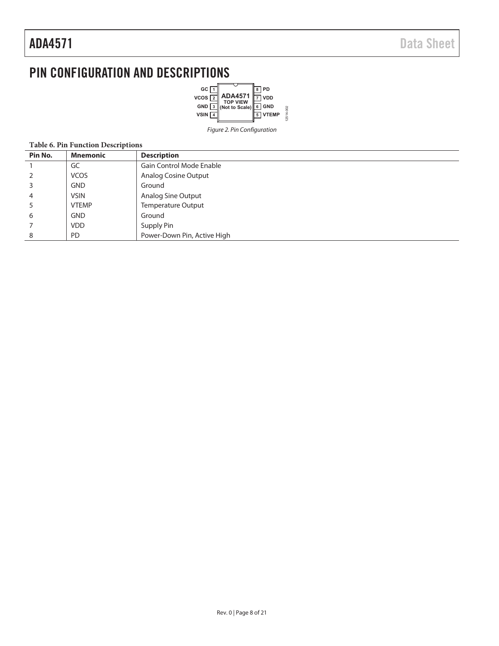# PIN CONFIGURATION AND DESCRIPTIONS



Figure 2. Pin Configuration

#### **Table 6. Pin Function Descriptions**

| Pin No. | <b>Mnemonic</b> | <b>Description</b>          |
|---------|-----------------|-----------------------------|
|         | GC              | Gain Control Mode Enable    |
|         | <b>VCOS</b>     | Analog Cosine Output        |
|         | <b>GND</b>      | Ground                      |
| 4       | <b>VSIN</b>     | Analog Sine Output          |
|         | <b>VTEMP</b>    | <b>Temperature Output</b>   |
| 6       | <b>GND</b>      | Ground                      |
|         | <b>VDD</b>      | Supply Pin                  |
| 8       | <b>PD</b>       | Power-Down Pin, Active High |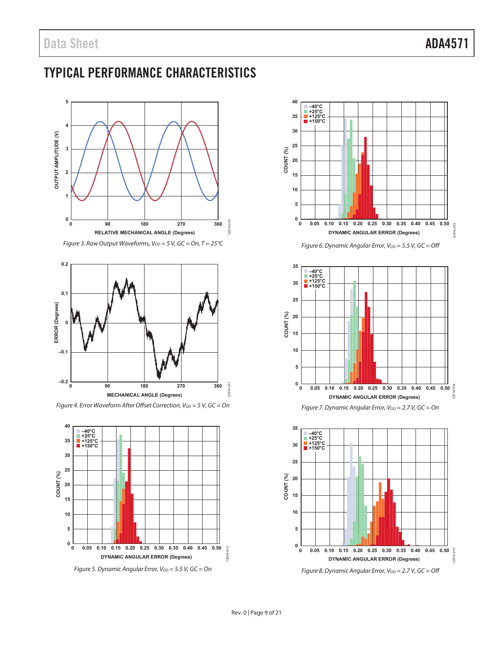# TYPICAL PERFORMANCE CHARACTERISTICS



Figure 3. Raw Output Waveforms,  $V_{DD} = 5$  V, GC = On, T = 25°C



Figure 4. Error Waveform After Offset Correction,  $V_{DD} = 5$  V, GC = On



Figure 5. Dynamic Angular Error,  $V_{DD} = 5.5$  V, GC = On



Figure 6. Dynamic Angular Error,  $V_{DD} = 5.5$  V, GC = Off





Figure 8. Dynamic Angular Error,  $V_{DD} = 2.7$  V, GC = Off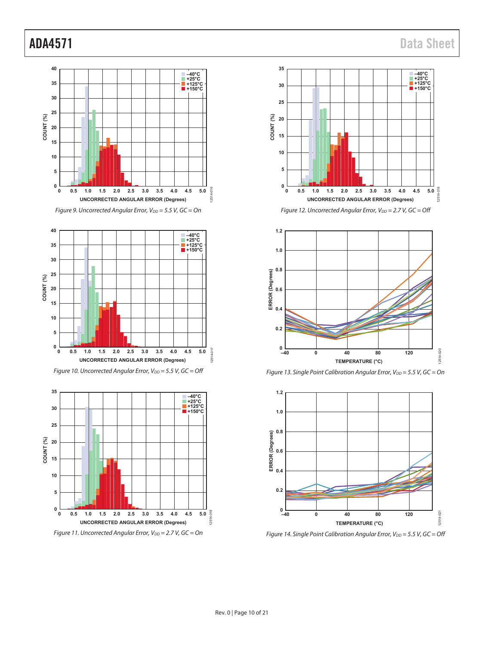









Figure 14. Single Point Calibration Angular Error,  $V_{DD} = 5.5$  V, GC = Off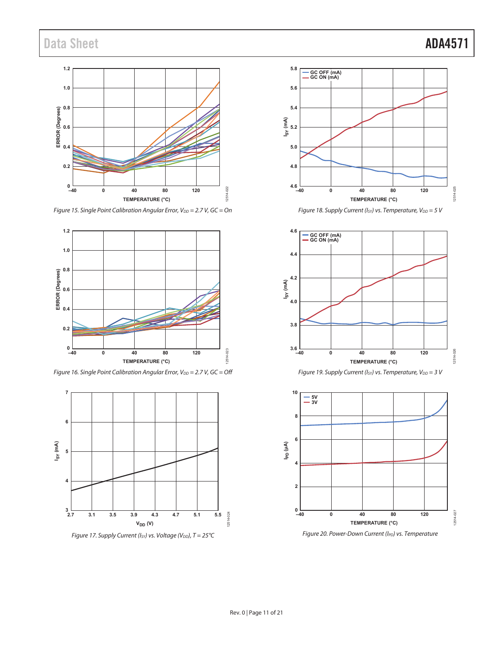# Data Sheet **ADA4571**



Figure 15. Single Point Calibration Angular Error,  $V_{DD} = 2.7$  V, GC = On



Figure 16. Single Point Calibration Angular Error,  $V_{DD} = 2.7 V$ , GC = Off











Figure 19. Supply Current (Isy) vs. Temperature,  $V_{DD} = 3$  V

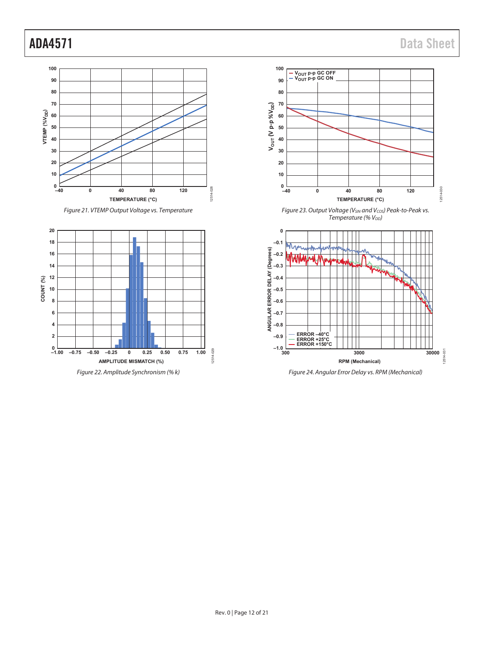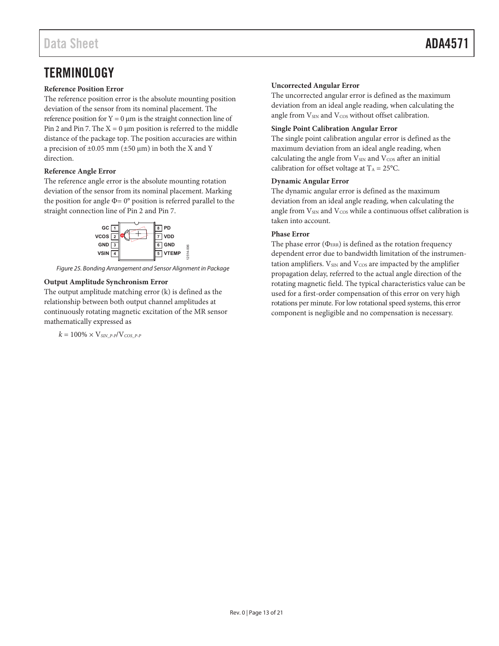#### **Reference Position Error**

The reference position error is the absolute mounting position deviation of the sensor from its nominal placement. The reference position for  $Y = 0 \mu m$  is the straight connection line of Pin 2 and Pin 7. The  $X = 0$  µm position is referred to the middle distance of the package top. The position accuracies are within a precision of  $\pm 0.05$  mm ( $\pm 50$  µm) in both the X and Y direction.

#### **Reference Angle Error**

The reference angle error is the absolute mounting rotation deviation of the sensor from its nominal placement. Marking the position for angle  $\Phi$  = 0° position is referred parallel to the straight connection line of Pin 2 and Pin 7.



Figure 25. Bonding Arrangement and Sensor Alignment in Package

#### **Output Amplitude Synchronism Error**

The output amplitude matching error (k) is defined as the relationship between both output channel amplitudes at continuously rotating magnetic excitation of the MR sensor mathematically expressed as

$$
k=100\% \times \mathrm{V}_{\text{SIN\_P-P}}/\mathrm{V}_{\text{COS\_P-P}}
$$

# **Uncorrected Angular Error**

The uncorrected angular error is defined as the maximum deviation from an ideal angle reading, when calculating the angle from  $V_{\text{SIN}}$  and  $V_{\text{COS}}$  without offset calibration.

#### **Single Point Calibration Angular Error**

The single point calibration angular error is defined as the maximum deviation from an ideal angle reading, when calculating the angle from  $V_{SN}$  and  $V_{COS}$  after an initial calibration for offset voltage at  $T_A = 25$ °C.

#### **Dynamic Angular Error**

The dynamic angular error is defined as the maximum deviation from an ideal angle reading, when calculating the angle from V<sub>SIN</sub> and V<sub>COS</sub> while a continuous offset calibration is taken into account.

#### **Phase Error**

The phase error  $(\Phi_{\text{ERR}})$  is defined as the rotation frequency dependent error due to bandwidth limitation of the instrumentation amplifiers.  $V_{\text{SIN}}$  and  $V_{\text{COS}}$  are impacted by the amplifier propagation delay, referred to the actual angle direction of the rotating magnetic field. The typical characteristics value can be used for a first-order compensation of this error on very high rotations per minute. For low rotational speed systems, this error component is negligible and no compensation is necessary.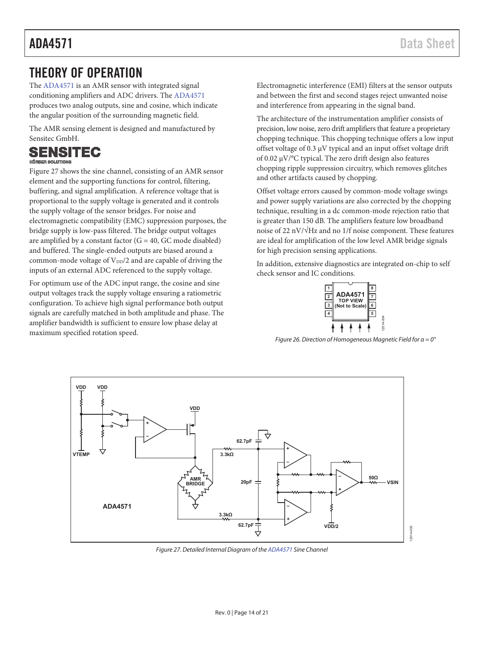# THEORY OF OPERATION

The ADA4571 is an AMR sensor with integrated signal conditioning amplifiers and ADC drivers. The ADA4571 produces two analog outputs, sine and cosine, which indicate the angular position of the surrounding magnetic field.

The AMR sensing element is designed and manufactured by Sensitec GmbH.

## SENSITEC **KÖRBER SOLUTIONS**

Figure 27 shows the sine channel, consisting of an AMR sensor element and the supporting functions for control, filtering, buffering, and signal amplification. A reference voltage that is proportional to the supply voltage is generated and it controls the supply voltage of the sensor bridges. For noise and electromagnetic compatibility (EMC) suppression purposes, the bridge supply is low-pass filtered. The bridge output voltages are amplified by a constant factor  $(G = 40, GC \text{ mode disabled})$ and buffered. The single-ended outputs are biased around a common-mode voltage of  $V_{DD}/2$  and are capable of driving the inputs of an external ADC referenced to the supply voltage.

For optimum use of the ADC input range, the cosine and sine output voltages track the supply voltage ensuring a ratiometric configuration. To achieve high signal performance both output signals are carefully matched in both amplitude and phase. The amplifier bandwidth is sufficient to ensure low phase delay at maximum specified rotation speed.

Electromagnetic interference (EMI) filters at the sensor outputs and between the first and second stages reject unwanted noise and interference from appearing in the signal band.

The architecture of the instrumentation amplifier consists of precision, low noise, zero drift amplifiers that feature a proprietary chopping technique. This chopping technique offers a low input offset voltage of 0.3 µV typical and an input offset voltage drift of 0.02 µV/°C typical. The zero drift design also features chopping ripple suppression circuitry, which removes glitches and other artifacts caused by chopping.

Offset voltage errors caused by common-mode voltage swings and power supply variations are also corrected by the chopping technique, resulting in a dc common-mode rejection ratio that is greater than 150 dB. The amplifiers feature low broadband noise of 22 nV/√Hz and no 1/f noise component. These features are ideal for amplification of the low level AMR bridge signals for high precision sensing applications.

In addition, extensive diagnostics are integrated on-chip to self check sensor and IC conditions.



Figure 26. Direction of Homogeneous Magnetic Field for  $\alpha = 0^{\circ}$ 



Figure 27. Detailed Internal Diagram of the ADA4571 Sine Channel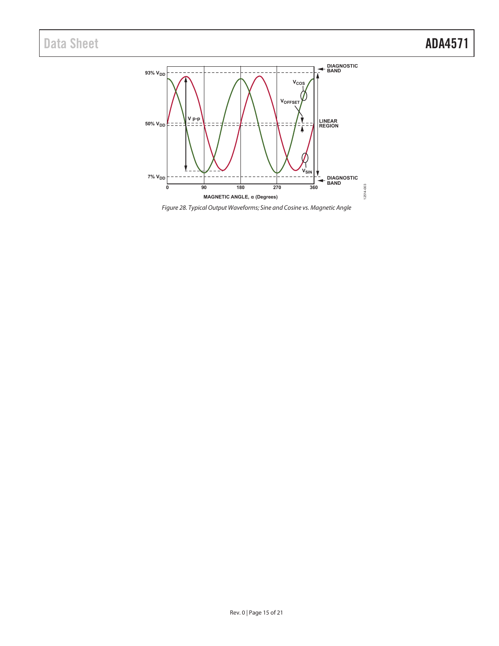

Figure 28. Typical Output Waveforms; Sine and Cosine vs. Magnetic Angle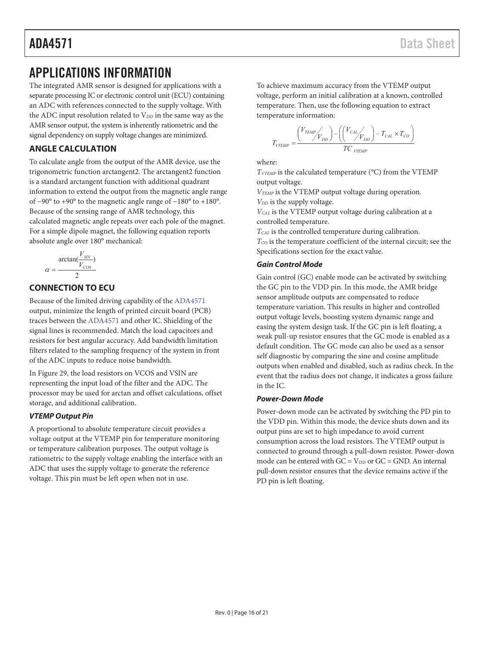# APPLICATIONS INFORMATION

The integrated AMR sensor is designed for applications with a separate processing IC or electronic control unit (ECU) containing an ADC with references connected to the supply voltage. With the ADC input resolution related to  $V_{DD}$  in the same way as the AMR sensor output, the system is inherently ratiometric and the signal dependency on supply voltage changes are minimized.

# **ANGLE CALCULATION**

To calculate angle from the output of the AMR device, use the trigonometric function arctangent2. The arctangent2 function is a standard arctangent function with additional quadrant information to extend the output from the magnetic angle range of −90° to +90° to the magnetic angle range of −180° to +180°. Because of the sensing range of AMR technology, this calculated magnetic angle repeats over each pole of the magnet. For a simple dipole magnet, the following equation reports absolute angle over 180° mechanical:

$$
= \frac{\arctan(\frac{V_{SN}}{V_{COS}})}{2}
$$

 $\alpha$ 

# **CONNECTION TO ECU**

Because of the limited driving capability of the ADA4571 output, minimize the length of printed circuit board (PCB) traces between the ADA4571 and other IC. Shielding of the signal lines is recommended. Match the load capacitors and resistors for best angular accuracy. Add bandwidth limitation filters related to the sampling frequency of the system in front of the ADC inputs to reduce noise bandwidth.

In Figure 29, the load resistors on VCOS and VSIN are representing the input load of the filter and the ADC. The processor may be used for arctan and offset calculations, offset storage, and additional calibration.

### **VTEMP Output Pin**

A proportional to absolute temperature circuit provides a voltage output at the VTEMP pin for temperature monitoring or temperature calibration purposes. The output voltage is ratiometric to the supply voltage enabling the interface with an ADC that uses the supply voltage to generate the reference voltage. This pin must be left open when not in use.

To achieve maximum accuracy from the VTEMP output voltage, perform an initial calibration at a known, controlled temperature. Then, use the following equation to extract temperature information:

$$
T_{VTEMP} = \frac{V_{TEMP}}{V_{DD}} \left( \frac{V_{CAL}}{V_{DD}} \right) - T_{CAL} \times T_{CO}
$$

where:

 $T_{VTEMP}$  is the calculated temperature ( $°C$ ) from the VTEMP output voltage.

 $V_{\text{TEMP}}$  is the VTEMP output voltage during operation. V<sub>DD</sub> is the supply voltage.

 $V_{CAL}$  is the VTEMP output voltage during calibration at a controlled temperature.

 $T_{CAL}$  is the controlled temperature during calibration.  $T_{CO}$  is the temperature coefficient of the internal circuit; see the Specifications section for the exact value.

### **Gain Control Mode**

Gain control (GC) enable mode can be activated by switching the GC pin to the VDD pin. In this mode, the AMR bridge sensor amplitude outputs are compensated to reduce temperature variation. This results in higher and controlled output voltage levels, boosting system dynamic range and easing the system design task. If the GC pin is left floating, a weak pull-up resistor ensures that the GC mode is enabled as a default condition. The GC mode can also be used as a sensor self diagnostic by comparing the sine and cosine amplitude outputs when enabled and disabled, such as radius check. In the event that the radius does not change, it indicates a gross failure in the IC.

#### **Power-Down Mode**

Power-down mode can be activated by switching the PD pin to the VDD pin. Within this mode, the device shuts down and its output pins are set to high impedance to avoid current consumption across the load resistors. The VTEMP output is connected to ground through a pull-down resistor. Power-down mode can be entered with  $GC = V_{DD}$  or  $GC = GND$ . An internal pull-down resistor ensures that the device remains active if the PD pin is left floating.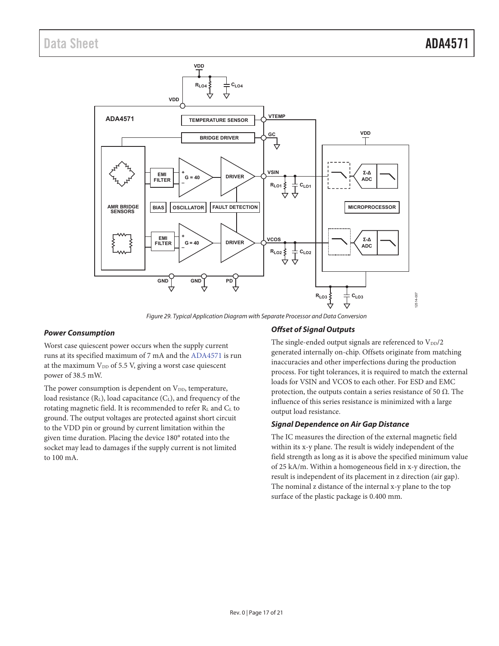

Figure 29. Typical Application Diagram with Separate Processor and Data Conversion

#### **Power Consumption**

Worst case quiescent power occurs when the supply current runs at its specified maximum of 7 mA and the ADA4571 is run at the maximum  $V_{DD}$  of 5.5 V, giving a worst case quiescent power of 38.5 mW.

The power consumption is dependent on  $V_{DD}$ , temperature, load resistance  $(R_L)$ , load capacitance  $(C_L)$ , and frequency of the rotating magnetic field. It is recommended to refer RL and CL to ground. The output voltages are protected against short circuit to the VDD pin or ground by current limitation within the given time duration. Placing the device 180° rotated into the socket may lead to damages if the supply current is not limited to 100 mA.

### **Offset of Signal Outputs**

The single-ended output signals are referenced to  $V_{DD}/2$ generated internally on-chip. Offsets originate from matching inaccuracies and other imperfections during the production process. For tight tolerances, it is required to match the external loads for VSIN and VCOS to each other. For ESD and EMC protection, the outputs contain a series resistance of 50 Ω. The influence of this series resistance is minimized with a large output load resistance.

#### **Signal Dependence on Air Gap Distance**

The IC measures the direction of the external magnetic field within its x-y plane. The result is widely independent of the field strength as long as it is above the specified minimum value of 25 kA/m. Within a homogeneous field in x-y direction, the result is independent of its placement in z direction (air gap). The nominal z distance of the internal x-y plane to the top surface of the plastic package is 0.400 mm.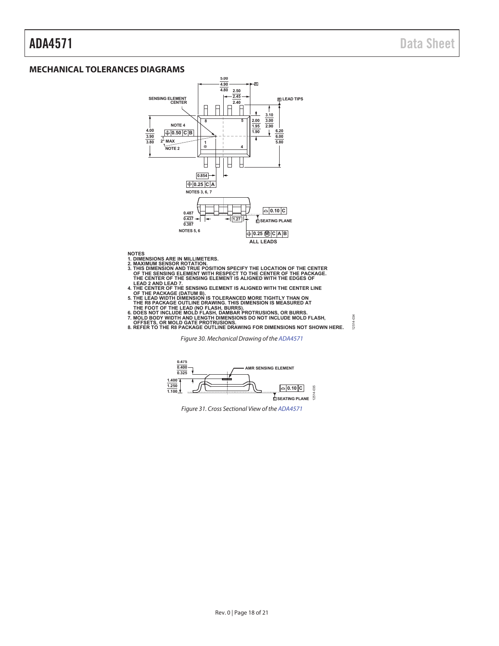#### **MECHANICAL TOLERANCES DIAGRAMS**



- 
- **NOTES AND METALLIMETERS.**<br>2. MAXIMUM SENSOR ROTATION.<br>2. MAXIMUM SENSOR ROTATION.<br>3. THIS DIMENSION AND TRUE POSITION SPECIFY THE LOCATION OF THE CENTER<br>3. THE SENSING ELEMENT WITH RESPECT TO THE CENTER OF THE PACKAGE.<br>TH
- 
- 
- 
- 
- 12514-034

Figure 30. Mechanical Drawing of the ADA4571



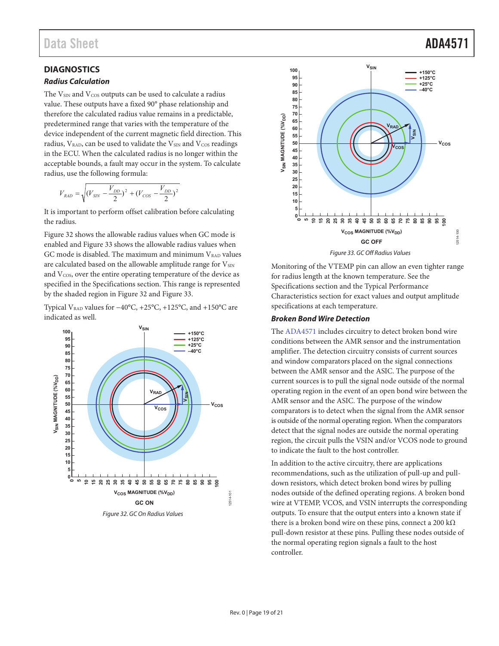## **DIAGNOSTICS**

#### **Radius Calculation**

The  $V_{\text{SIN}}$  and  $V_{\text{COS}}$  outputs can be used to calculate a radius value. These outputs have a fixed 90° phase relationship and therefore the calculated radius value remains in a predictable, predetermined range that varies with the temperature of the device independent of the current magnetic field direction. This radius,  $V_{RAD}$ , can be used to validate the  $V_{SIN}$  and  $V_{COS}$  readings in the ECU. When the calculated radius is no longer within the acceptable bounds, a fault may occur in the system. To calculate radius, use the following formula:

$$
V_{BAD}=\sqrt{(V_{SIN}-\frac{V_{DD}}{2})^2+(V_{COS}-\frac{V_{DD}}{2})^2}
$$

It is important to perform offset calibration before calculating the radius.

Figure 32 shows the allowable radius values when GC mode is enabled and Figure 33 shows the allowable radius values when GC mode is disabled. The maximum and minimum  $V_{\scriptscriptstyle RAD}$  values are calculated based on the allowable amplitude range for VSIN and  $V_{\cos}$ , over the entire operating temperature of the device as specified in the Specifications section. This range is represented by the shaded region in Figure 32 and Figure 33.

Typical VRAD values for −40°C, +25°C, +125°C, and +150°C are indicated as well.





Monitoring of the VTEMP pin can allow an even tighter range for radius length at the known temperature. See the Specifications section and the Typical Performance Characteristics section for exact values and output amplitude specifications at each temperature.

#### **Broken Bond Wire Detection**

The ADA4571 includes circuitry to detect broken bond wire conditions between the AMR sensor and the instrumentation amplifier. The detection circuitry consists of current sources and window comparators placed on the signal connections between the AMR sensor and the ASIC. The purpose of the current sources is to pull the signal node outside of the normal operating region in the event of an open bond wire between the AMR sensor and the ASIC. The purpose of the window comparators is to detect when the signal from the AMR sensor is outside of the normal operating region. When the comparators detect that the signal nodes are outside the normal operating region, the circuit pulls the VSIN and/or VCOS node to ground to indicate the fault to the host controller.

In addition to the active circuitry, there are applications recommendations, such as the utilization of pull-up and pulldown resistors, which detect broken bond wires by pulling nodes outside of the defined operating regions. A broken bond wire at VTEMP, VCOS, and VSIN interrupts the corresponding outputs. To ensure that the output enters into a known state if there is a broken bond wire on these pins, connect a 200 k $\Omega$ pull-down resistor at these pins. Pulling these nodes outside of the normal operating region signals a fault to the host controller.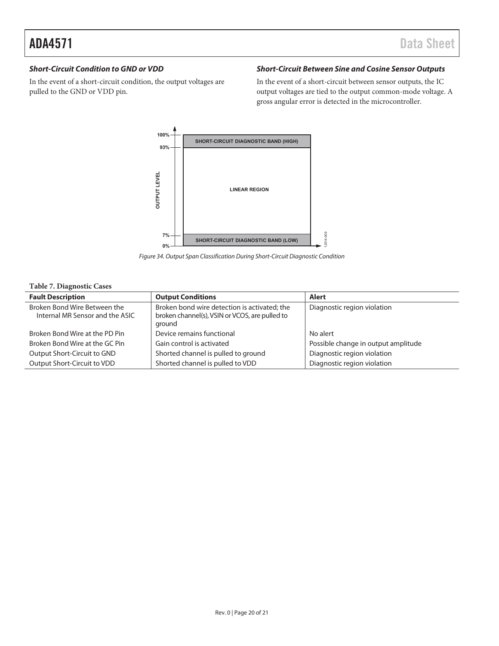### **Short-Circuit Condition to GND or VDD**

In the event of a short-circuit condition, the output voltages are pulled to the GND or VDD pin.

## **Short-Circuit Between Sine and Cosine Sensor Outputs**

In the event of a short-circuit between sensor outputs, the IC output voltages are tied to the output common-mode voltage. A gross angular error is detected in the microcontroller.



Figure 34. Output Span Classification During Short-Circuit Diagnostic Condition

#### **Table 7. Diagnostic Cases**

| <b>Fault Description</b>        | <b>Output Conditions</b>                       | Alert                               |
|---------------------------------|------------------------------------------------|-------------------------------------|
| Broken Bond Wire Between the    | Broken bond wire detection is activated; the   | Diagnostic region violation         |
| Internal MR Sensor and the ASIC | broken channel(s), VSIN or VCOS, are pulled to |                                     |
|                                 | ground                                         |                                     |
| Broken Bond Wire at the PD Pin  | Device remains functional                      | No alert                            |
| Broken Bond Wire at the GC Pin  | Gain control is activated                      | Possible change in output amplitude |
| Output Short-Circuit to GND     | Shorted channel is pulled to ground            | Diagnostic region violation         |
| Output Short-Circuit to VDD     | Shorted channel is pulled to VDD               | Diagnostic region violation         |